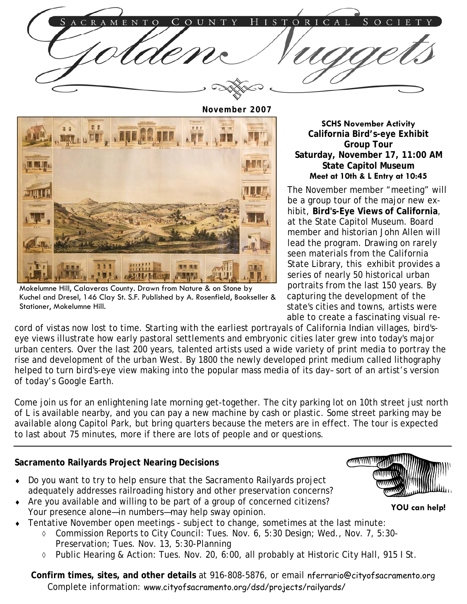

**November 2007** 



Mokelumne Hill, Calaveras County. Drawn from Nature & on Stone by Kuchel and Dresel, 146 Clay St. S.F. Published by A. Rosenfield, Bookseller & Stationer, Mokelumne Hill.

**SCHS November Activity California Bird's-eye Exhibit Group Tour Saturday, November 17, 11:00 AM State Capitol Museum Meet at 10th & L Entry at 10:45** 

The November member "meeting" will be a group tour of the major new exhibit, **Bird's-Eye Views of California**, at the State Capitol Museum. Board member and historian John Allen will lead the program. Drawing on rarely seen materials from the California State Library, this exhibit provides a series of nearly 50 historical urban portraits from the last 150 years. By capturing the development of the state's cities and towns, artists were able to create a fascinating visual re-

cord of vistas now lost to time. Starting with the earliest portrayals of California Indian villages, bird'seye views illustrate how early pastoral settlements and embryonic cities later grew into today's major urban centers. Over the last 200 years, talented artists used a wide variety of print media to portray the rise and development of the urban West. By 1800 the newly developed print medium called lithography helped to turn bird's-eye view making into the popular mass media of its day– sort of an artist's version of today's Google Earth.

Come join us for an enlightening late morning get-together. The city parking lot on 10th street just north of L is available nearby, and you can pay a new machine by cash or plastic. Some street parking may be available along Capitol Park, but bring quarters because the meters are in effect. The tour is expected to last about 75 minutes, more if there are lots of people and or questions.

## **Sacramento Railyards Project Nearing Decisions**

- Do you want to try to help ensure that the Sacramento Railyards project adequately addresses railroading history and other preservation concerns?
- Are you available and willing to be part of a group of concerned citizens? Your presence alone—in numbers—may help sway opinion.
- Tentative November open meetings subject to change, sometimes at the last minute:
	- ◊ Commission Reports to City Council: Tues. Nov. 6, 5:30 Design; Wed., Nov. 7, 5:30- Preservation; Tues. Nov. 13, 5:30-Planning
	- ◊ Public Hearing & Action: Tues. Nov. 20, 6:00, all probably at Historic City Hall, 915 I St.

 **Confirm times, sites, and other details** at 916-808-5876, or email nferrario@cityofsacramento.org Complete information: www.cityofsacramento.org/dsd/projects/railyards/



 **YOU can help!**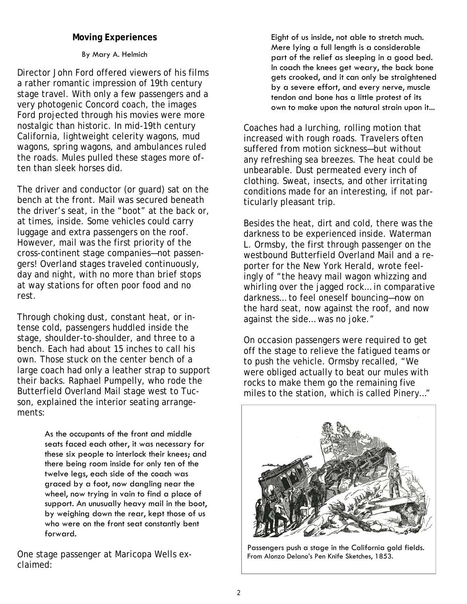### **Moving Experiences**

#### By Mary A. Helmich

Director John Ford offered viewers of his films a rather romantic impression of 19th century stage travel. With only a few passengers and a very photogenic Concord coach, the images Ford projected through his movies were more nostalgic than historic. In mid-19th century California, lightweight celerity wagons, mud wagons, spring wagons, and ambulances ruled the roads. Mules pulled these stages more often than sleek horses did.

The driver and conductor (or guard) sat on the bench at the front. Mail was secured beneath the driver's seat, in the "boot" at the back or, at times, inside. Some vehicles could carry luggage and extra passengers on the roof. However, mail was the first priority of the cross-continent stage companies—not passengers! Overland stages traveled continuously, day and night, with no more than brief stops at way stations for often poor food and no rest.

Through choking dust, constant heat, or intense cold, passengers huddled inside the stage, shoulder-to-shoulder, and three to a bench. Each had about 15 inches to call his own. Those stuck on the center bench of a large coach had only a leather strap to support their backs. Raphael Pumpelly, who rode the Butterfield Overland Mail stage west to Tucson, explained the interior seating arrangements:

> As the occupants of the front and middle seats faced each other, it was necessary for these six people to interlock their knees; and there being room inside for only ten of the twelve legs, each side of the coach was graced by a foot, now dangling near the wheel, now trying in vain to find a place of support. An unusually heavy mail in the boot, by weighing down the rear, kept those of us who were on the front seat constantly bent forward.

One stage passenger at Maricopa Wells exclaimed:

Eight of us inside, not able to stretch much. Mere lying a full length is a considerable part of the relief as sleeping in a good bed. In coach the knees get weary, the back bone gets crooked, and it can only be straightened by a severe effort, and every nerve, muscle tendon and bone has a little protest of its own to make upon the natural strain upon it...

Coaches had a lurching, rolling motion that increased with rough roads. Travelers often suffered from motion sickness—but without any refreshing sea breezes. The heat could be unbearable. Dust permeated every inch of clothing. Sweat, insects, and other irritating conditions made for an interesting, if not particularly pleasant trip.

Besides the heat, dirt and cold, there was the darkness to be experienced inside. Waterman L. Ormsby, the first through passenger on the westbound Butterfield Overland Mail and a reporter for the New York Herald, wrote feelingly of "the heavy mail wagon whizzing and whirling over the jagged rock… in comparative darkness… to feel oneself bouncing—now on the hard seat, now against the roof, and now against the side… was no joke."

On occasion passengers were required to get off the stage to relieve the fatigued teams or to push the vehicle. Ormsby recalled, "We were obliged actually to beat our mules with rocks to make them go the remaining five miles to the station, which is called Pinery…"



Passengers push a stage in the California gold fields. From Alonzo Delano's Pen Knife Sketches, 1853.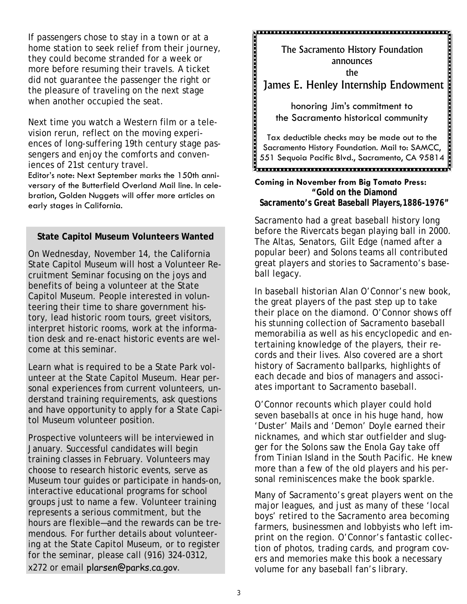If passengers chose to stay in a town or at a home station to seek relief from their journey, they could become stranded for a week or more before resuming their travels. A ticket did not guarantee the passenger the right or the pleasure of traveling on the next stage when another occupied the seat.

Next time you watch a Western film or a television rerun, reflect on the moving experiences of long-suffering 19th century stage passengers and enjoy the comforts and conveniences of 21st century travel.

Editor's note: Next September marks the 150th anniversary of the Butterfield Overland Mail line. In celebration, Golden Nuggets will offer more articles on early stages in California.

### **State Capitol Museum Volunteers Wanted**

On Wednesday, November 14, the California State Capitol Museum will host a Volunteer Recruitment Seminar focusing on the joys and benefits of being a volunteer at the State Capitol Museum. People interested in volunteering their time to share government history, lead historic room tours, greet visitors, interpret historic rooms, work at the information desk and re-enact historic events are welcome at this seminar.

Learn what is required to be a State Park volunteer at the State Capitol Museum. Hear personal experiences from current volunteers, understand training requirements, ask questions and have opportunity to apply for a State Capitol Museum volunteer position.

Prospective volunteers will be interviewed in January. Successful candidates will begin training classes in February. Volunteers may choose to research historic events, serve as Museum tour guides or participate in hands-on, interactive educational programs for school groups just to name a few. Volunteer training represents a serious commitment, but the hours are flexible—and the rewards can be tremendous. For further details about volunteering at the State Capitol Museum, or to register for the seminar, please call (916) 324-0312, x272 or email plarsen@parks.ca.gov.

<u> prodomnom monomnom monomnom</u> The Sacramento History Foundation announces the James E. Henley Internship Endowment honoring Jim's commitment to the Sacramento historical community Tax deductible checks may be made out to the Sacramento History Foundation. Mail to: SAMCC, 551 Sequoia Pacific Blvd., Sacramento, CA 95814 

#### **Coming in November from Big Tomato Press: "Gold on the Diamond Sacramento's Great Baseball Players,1886-1976"**

Sacramento had a great baseball history long before the Rivercats began playing ball in 2000. The Altas, Senators, Gilt Edge (named after a popular beer) and Solons teams all contributed great players and stories to Sacramento's baseball legacy.

In baseball historian Alan O'Connor's new book, the great players of the past step up to take their place on the diamond. O'Connor shows off his stunning collection of Sacramento baseball memorabilia as well as his encyclopedic and entertaining knowledge of the players, their records and their lives. Also covered are a short history of Sacramento ballparks, highlights of each decade and bios of managers and associates important to Sacramento baseball.

O'Connor recounts which player could hold seven baseballs at once in his huge hand, how 'Duster' Mails and 'Demon' Doyle earned their nicknames, and which star outfielder and slugger for the Solons saw the Enola Gay take off from Tinian Island in the South Pacific. He knew more than a few of the old players and his personal reminiscences make the book sparkle.

Many of Sacramento's great players went on the major leagues, and just as many of these 'local boys' retired to the Sacramento area becoming farmers, businessmen and lobbyists who left imprint on the region. O'Connor's fantastic collection of photos, trading cards, and program covers and memories make this book a necessary volume for any baseball fan's library.